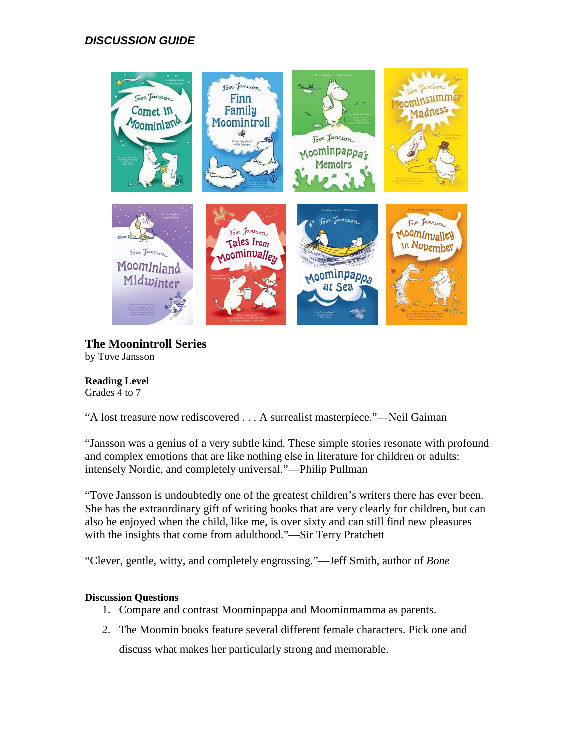# **DISCUSSION GUIDE**



**The Moonintroll Series**  by Tove Jansson

#### **Reading Level**  Grades 4 to 7

"A lost treasure now rediscovered . . . A surrealist masterpiece."—Neil Gaiman

"Jansson was a genius of a very subtle kind. These simple stories resonate with profound and complex emotions that are like nothing else in literature for children or adults: intensely Nordic, and completely universal."—Philip Pullman

"Tove Jansson is undoubtedly one of the greatest children's writers there has ever been. She has the extraordinary gift of writing books that are very clearly for children, but can also be enjoyed when the child, like me, is over sixty and can still find new pleasures with the insights that come from adulthood."—Sir Terry Pratchett

"Clever, gentle, witty, and completely engrossing."—Jeff Smith, author of *Bone*

# **Discussion Questions**

- 1. Compare and contrast Moominpappa and Moominmamma as parents.
- 2. The Moomin books feature several different female characters. Pick one and discuss what makes her particularly strong and memorable.